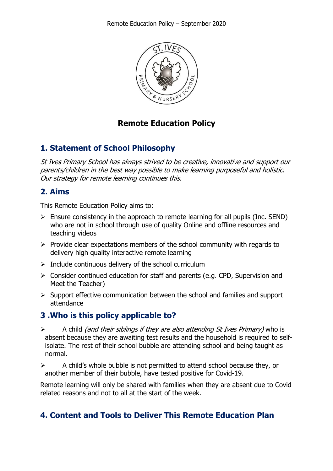

## **Remote Education Policy**

# **1. Statement of School Philosophy**

St Ives Primary School has always strived to be creative, innovative and support our parents/children in the best way possible to make learning purposeful and holistic. Our strategy for remote learning continues this.

# **2. Aims**

This Remote Education Policy aims to:

- $\triangleright$  Ensure consistency in the approach to remote learning for all pupils (Inc. SEND) who are not in school through use of quality Online and offline resources and teaching videos
- $\triangleright$  Provide clear expectations members of the school community with regards to delivery high quality interactive remote learning
- $\triangleright$  Include continuous delivery of the school curriculum
- $\triangleright$  Consider continued education for staff and parents (e.g. CPD, Supervision and Meet the Teacher)
- $\triangleright$  Support effective communication between the school and families and support attendance

## **3 .Who is this policy applicable to?**

- $\triangleright$  A child *(and their siblings if they are also attending St Ives Primary)* who is absent because they are awaiting test results and the household is required to selfisolate. The rest of their school bubble are attending school and being taught as normal.
- $\triangleright$  A child's whole bubble is not permitted to attend school because they, or another member of their bubble, have tested positive for Covid-19.

Remote learning will only be shared with families when they are absent due to Covid related reasons and not to all at the start of the week.

# **4. Content and Tools to Deliver This Remote Education Plan**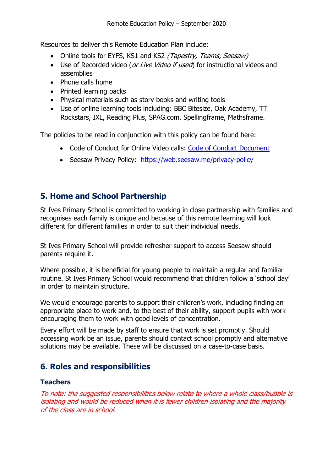Resources to deliver this Remote Education Plan include:

- Online tools for EYFS, KS1 and KS2 (Tapestry, Teams, Seesaw)
- Use of Recorded video (or Live Video if used) for instructional videos and assemblies
- Phone calls home
- Printed learning packs
- Physical materials such as story books and writing tools
- Use of online learning tools including: BBC Bitesize, Oak Academy, TT Rockstars, IXL, Reading Plus, SPAG.com, Spellingframe, Mathsframe.

The policies to be read in conjunction with this policy can be found here:

- Code of Conduct for Online Video calls: Code of Conduct Document
- Seesaw Privacy Policy: https://web.seesaw.me/privacy-policy

## **5. Home and School Partnership**

St Ives Primary School is committed to working in close partnership with families and recognises each family is unique and because of this remote learning will look different for different families in order to suit their individual needs.

St Ives Primary School will provide refresher support to access Seesaw should parents require it.

Where possible, it is beneficial for young people to maintain a regular and familiar routine. St Ives Primary School would recommend that children follow a 'school day' in order to maintain structure.

We would encourage parents to support their children's work, including finding an appropriate place to work and, to the best of their ability, support pupils with work encouraging them to work with good levels of concentration.

Every effort will be made by staff to ensure that work is set promptly. Should accessing work be an issue, parents should contact school promptly and alternative solutions may be available. These will be discussed on a case-to-case basis.

# **6. Roles and responsibilities**

## **Teachers**

To note: the suggested responsibilities below relate to where a whole class/bubble is isolating and would be reduced when it is fewer children isolating and the majority of the class are in school.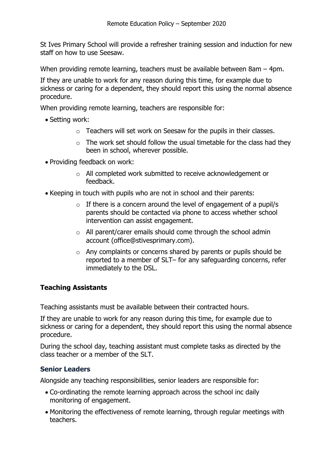St Ives Primary School will provide a refresher training session and induction for new staff on how to use Seesaw.

When providing remote learning, teachers must be available between 8am – 4pm.

If they are unable to work for any reason during this time, for example due to sickness or caring for a dependent, they should report this using the normal absence procedure.

When providing remote learning, teachers are responsible for:

- Setting work:
	- o Teachers will set work on Seesaw for the pupils in their classes.
	- $\circ$  The work set should follow the usual timetable for the class had they been in school, wherever possible.
- Providing feedback on work:
	- o All completed work submitted to receive acknowledgement or feedback.
- Keeping in touch with pupils who are not in school and their parents:
	- $\circ$  If there is a concern around the level of engagement of a pupil/s parents should be contacted via phone to access whether school intervention can assist engagement.
	- o All parent/carer emails should come through the school admin account (office@stivesprimary.com).
	- o Any complaints or concerns shared by parents or pupils should be reported to a member of SLT– for any safeguarding concerns, refer immediately to the DSL.

## **Teaching Assistants**

Teaching assistants must be available between their contracted hours.

If they are unable to work for any reason during this time, for example due to sickness or caring for a dependent, they should report this using the normal absence procedure.

During the school day, teaching assistant must complete tasks as directed by the class teacher or a member of the SLT.

### **Senior Leaders**

Alongside any teaching responsibilities, senior leaders are responsible for:

- Co-ordinating the remote learning approach across the school inc daily monitoring of engagement.
- Monitoring the effectiveness of remote learning, through regular meetings with teachers.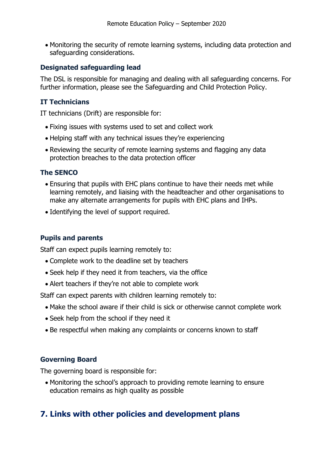• Monitoring the security of remote learning systems, including data protection and safeguarding considerations.

#### **Designated safeguarding lead**

The DSL is responsible for managing and dealing with all safeguarding concerns. For further information, please see the Safeguarding and Child Protection Policy.

### **IT Technicians**

IT technicians (Drift) are responsible for:

- Fixing issues with systems used to set and collect work
- Helping staff with any technical issues they're experiencing
- Reviewing the security of remote learning systems and flagging any data protection breaches to the data protection officer

#### **The SENCO**

- Ensuring that pupils with EHC plans continue to have their needs met while learning remotely, and liaising with the headteacher and other organisations to make any alternate arrangements for pupils with EHC plans and IHPs.
- Identifying the level of support required.

### **Pupils and parents**

Staff can expect pupils learning remotely to:

- Complete work to the deadline set by teachers
- Seek help if they need it from teachers, via the office
- Alert teachers if they're not able to complete work

Staff can expect parents with children learning remotely to:

- Make the school aware if their child is sick or otherwise cannot complete work
- Seek help from the school if they need it
- Be respectful when making any complaints or concerns known to staff

#### **Governing Board**

The governing board is responsible for:

• Monitoring the school's approach to providing remote learning to ensure education remains as high quality as possible

## **7. Links with other policies and development plans**